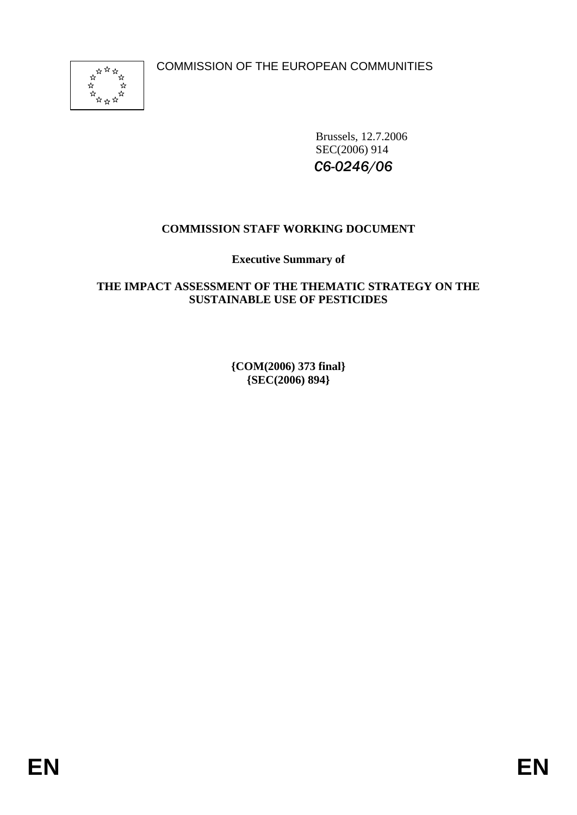COMMISSION OF THE EUROPEAN COMMUNITIES



Brussels, 12.7.2006 SEC(2006) 914 *C6-0246/06*

# **COMMISSION STAFF WORKING DOCUMENT**

**Executive Summary of** 

## **THE IMPACT ASSESSMENT OF THE THEMATIC STRATEGY ON THE SUSTAINABLE USE OF PESTICIDES**

**{COM(2006) 373 final} {SEC(2006) 894}**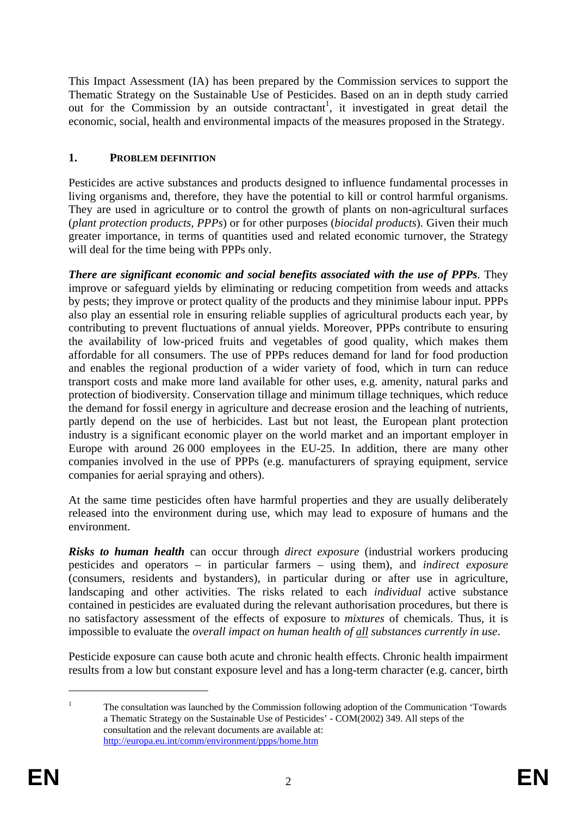This Impact Assessment (IA) has been prepared by the Commission services to support the Thematic Strategy on the Sustainable Use of Pesticides. Based on an in depth study carried out for the Commission by an outside contractant<sup>1</sup>, it investigated in great detail the economic, social, health and environmental impacts of the measures proposed in the Strategy.

# **1. PROBLEM DEFINITION**

Pesticides are active substances and products designed to influence fundamental processes in living organisms and, therefore, they have the potential to kill or control harmful organisms. They are used in agriculture or to control the growth of plants on non-agricultural surfaces (*plant protection products, PPPs*) or for other purposes (*biocidal products*). Given their much greater importance, in terms of quantities used and related economic turnover, the Strategy will deal for the time being with PPPs only.

*There are significant economic and social benefits associated with the use of PPPs*. They improve or safeguard yields by eliminating or reducing competition from weeds and attacks by pests; they improve or protect quality of the products and they minimise labour input. PPPs also play an essential role in ensuring reliable supplies of agricultural products each year, by contributing to prevent fluctuations of annual yields. Moreover, PPPs contribute to ensuring the availability of low-priced fruits and vegetables of good quality, which makes them affordable for all consumers. The use of PPPs reduces demand for land for food production and enables the regional production of a wider variety of food, which in turn can reduce transport costs and make more land available for other uses, e.g. amenity, natural parks and protection of biodiversity. Conservation tillage and minimum tillage techniques, which reduce the demand for fossil energy in agriculture and decrease erosion and the leaching of nutrients, partly depend on the use of herbicides. Last but not least, the European plant protection industry is a significant economic player on the world market and an important employer in Europe with around 26 000 employees in the EU-25. In addition, there are many other companies involved in the use of PPPs (e.g. manufacturers of spraying equipment, service companies for aerial spraying and others).

At the same time pesticides often have harmful properties and they are usually deliberately released into the environment during use, which may lead to exposure of humans and the environment.

*Risks to human health* can occur through *direct exposure* (industrial workers producing pesticides and operators – in particular farmers – using them), and *indirect exposure* (consumers, residents and bystanders), in particular during or after use in agriculture, landscaping and other activities. The risks related to each *individual* active substance contained in pesticides are evaluated during the relevant authorisation procedures, but there is no satisfactory assessment of the effects of exposure to *mixtures* of chemicals. Thus, it is impossible to evaluate the *overall impact on human health of all substances currently in use*.

Pesticide exposure can cause both acute and chronic health effects. Chronic health impairment results from a low but constant exposure level and has a long-term character (e.g. cancer, birth

-

<sup>1</sup> The consultation was launched by the Commission following adoption of the Communication 'Towards a Thematic Strategy on the Sustainable Use of Pesticides' - COM(2002) 349. All steps of the consultation and the relevant documents are available at: http://europa.eu.int/comm/environment/ppps/home.htm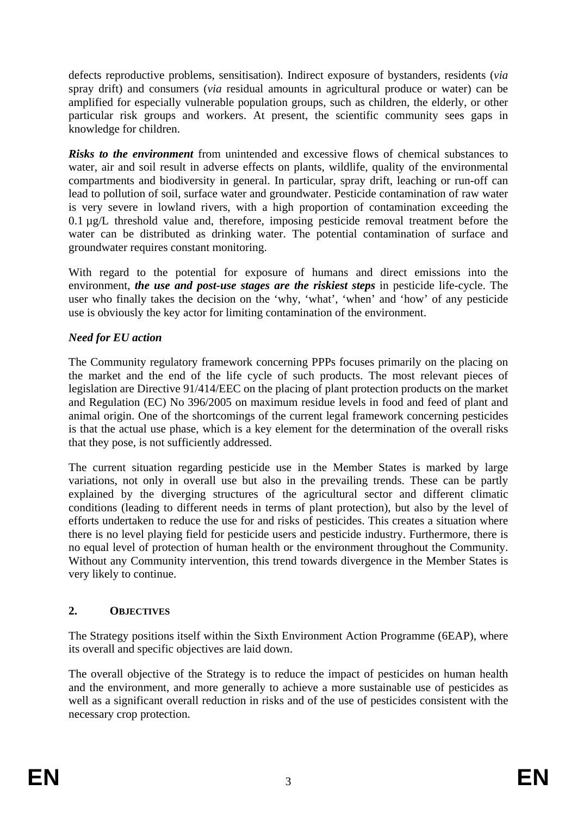defects reproductive problems, sensitisation). Indirect exposure of bystanders, residents (*via* spray drift) and consumers (*via* residual amounts in agricultural produce or water) can be amplified for especially vulnerable population groups, such as children, the elderly, or other particular risk groups and workers. At present, the scientific community sees gaps in knowledge for children.

*Risks to the environment* from unintended and excessive flows of chemical substances to water, air and soil result in adverse effects on plants, wildlife, quality of the environmental compartments and biodiversity in general. In particular, spray drift, leaching or run-off can lead to pollution of soil, surface water and groundwater. Pesticide contamination of raw water is very severe in lowland rivers, with a high proportion of contamination exceeding the 0.1  $\mu$ g/L threshold value and, therefore, imposing pesticide removal treatment before the water can be distributed as drinking water. The potential contamination of surface and groundwater requires constant monitoring.

With regard to the potential for exposure of humans and direct emissions into the environment, *the use and post-use stages are the riskiest steps* in pesticide life-cycle. The user who finally takes the decision on the 'why, 'what', 'when' and 'how' of any pesticide use is obviously the key actor for limiting contamination of the environment.

# *Need for EU action*

The Community regulatory framework concerning PPPs focuses primarily on the placing on the market and the end of the life cycle of such products. The most relevant pieces of legislation are Directive 91/414/EEC on the placing of plant protection products on the market and Regulation (EC) No 396/2005 on maximum residue levels in food and feed of plant and animal origin. One of the shortcomings of the current legal framework concerning pesticides is that the actual use phase, which is a key element for the determination of the overall risks that they pose, is not sufficiently addressed.

The current situation regarding pesticide use in the Member States is marked by large variations, not only in overall use but also in the prevailing trends. These can be partly explained by the diverging structures of the agricultural sector and different climatic conditions (leading to different needs in terms of plant protection), but also by the level of efforts undertaken to reduce the use for and risks of pesticides. This creates a situation where there is no level playing field for pesticide users and pesticide industry. Furthermore, there is no equal level of protection of human health or the environment throughout the Community. Without any Community intervention, this trend towards divergence in the Member States is very likely to continue.

## **2. OBJECTIVES**

The Strategy positions itself within the Sixth Environment Action Programme (6EAP), where its overall and specific objectives are laid down.

The overall objective of the Strategy is to reduce the impact of pesticides on human health and the environment, and more generally to achieve a more sustainable use of pesticides as well as a significant overall reduction in risks and of the use of pesticides consistent with the necessary crop protection.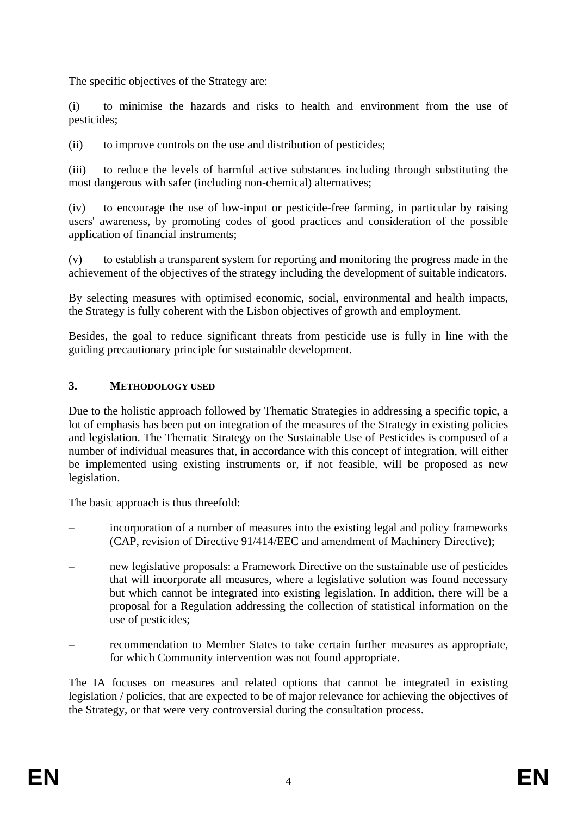The specific objectives of the Strategy are:

(i) to minimise the hazards and risks to health and environment from the use of pesticides;

(ii) to improve controls on the use and distribution of pesticides;

(iii) to reduce the levels of harmful active substances including through substituting the most dangerous with safer (including non-chemical) alternatives;

(iv) to encourage the use of low-input or pesticide-free farming, in particular by raising users' awareness, by promoting codes of good practices and consideration of the possible application of financial instruments;

(v) to establish a transparent system for reporting and monitoring the progress made in the achievement of the objectives of the strategy including the development of suitable indicators.

By selecting measures with optimised economic, social, environmental and health impacts, the Strategy is fully coherent with the Lisbon objectives of growth and employment.

Besides, the goal to reduce significant threats from pesticide use is fully in line with the guiding precautionary principle for sustainable development.

### **3. METHODOLOGY USED**

Due to the holistic approach followed by Thematic Strategies in addressing a specific topic, a lot of emphasis has been put on integration of the measures of the Strategy in existing policies and legislation. The Thematic Strategy on the Sustainable Use of Pesticides is composed of a number of individual measures that, in accordance with this concept of integration, will either be implemented using existing instruments or, if not feasible, will be proposed as new legislation.

The basic approach is thus threefold:

- incorporation of a number of measures into the existing legal and policy frameworks (CAP, revision of Directive 91/414/EEC and amendment of Machinery Directive);
- new legislative proposals: a Framework Directive on the sustainable use of pesticides that will incorporate all measures, where a legislative solution was found necessary but which cannot be integrated into existing legislation. In addition, there will be a proposal for a Regulation addressing the collection of statistical information on the use of pesticides;
- recommendation to Member States to take certain further measures as appropriate, for which Community intervention was not found appropriate.

The IA focuses on measures and related options that cannot be integrated in existing legislation / policies, that are expected to be of major relevance for achieving the objectives of the Strategy, or that were very controversial during the consultation process.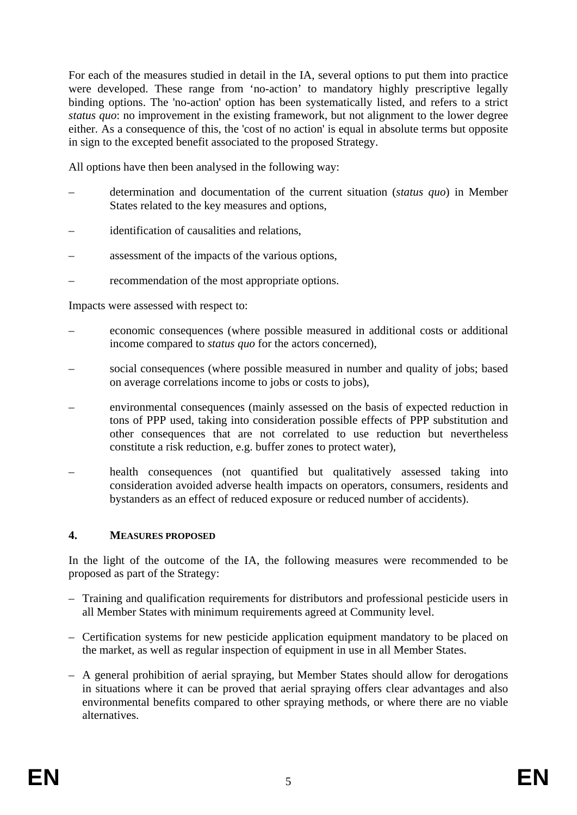For each of the measures studied in detail in the IA, several options to put them into practice were developed. These range from 'no-action' to mandatory highly prescriptive legally binding options. The 'no-action' option has been systematically listed, and refers to a strict *status quo*: no improvement in the existing framework, but not alignment to the lower degree either. As a consequence of this, the 'cost of no action' is equal in absolute terms but opposite in sign to the excepted benefit associated to the proposed Strategy.

All options have then been analysed in the following way:

- determination and documentation of the current situation (*status quo*) in Member States related to the key measures and options,
- identification of causalities and relations.
- assessment of the impacts of the various options,
- recommendation of the most appropriate options.

Impacts were assessed with respect to:

- economic consequences (where possible measured in additional costs or additional income compared to *status quo* for the actors concerned),
- social consequences (where possible measured in number and quality of jobs; based on average correlations income to jobs or costs to jobs),
- environmental consequences (mainly assessed on the basis of expected reduction in tons of PPP used, taking into consideration possible effects of PPP substitution and other consequences that are not correlated to use reduction but nevertheless constitute a risk reduction, e.g. buffer zones to protect water),
- health consequences (not quantified but qualitatively assessed taking into consideration avoided adverse health impacts on operators, consumers, residents and bystanders as an effect of reduced exposure or reduced number of accidents).

### **4. MEASURES PROPOSED**

In the light of the outcome of the IA, the following measures were recommended to be proposed as part of the Strategy:

- Training and qualification requirements for distributors and professional pesticide users in all Member States with minimum requirements agreed at Community level.
- Certification systems for new pesticide application equipment mandatory to be placed on the market, as well as regular inspection of equipment in use in all Member States.
- A general prohibition of aerial spraying, but Member States should allow for derogations in situations where it can be proved that aerial spraying offers clear advantages and also environmental benefits compared to other spraying methods, or where there are no viable alternatives.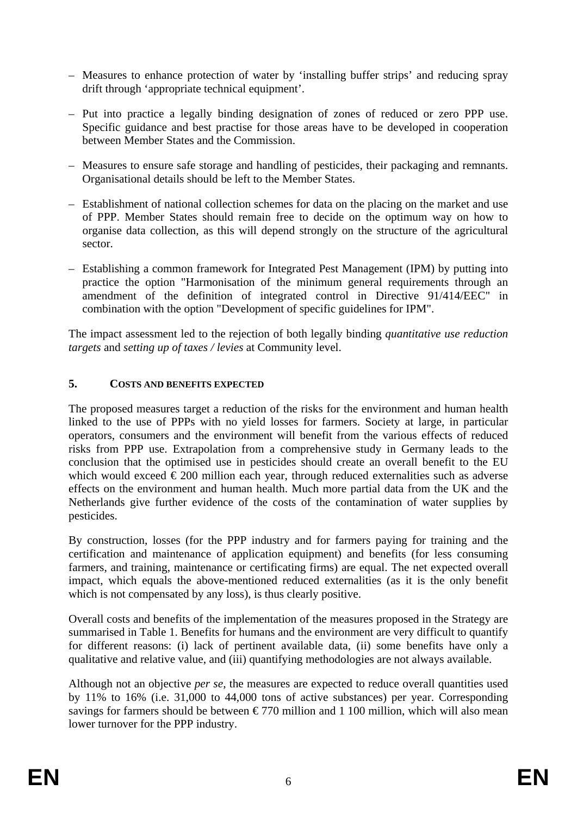- Measures to enhance protection of water by 'installing buffer strips' and reducing spray drift through 'appropriate technical equipment'.
- Put into practice a legally binding designation of zones of reduced or zero PPP use. Specific guidance and best practise for those areas have to be developed in cooperation between Member States and the Commission.
- Measures to ensure safe storage and handling of pesticides, their packaging and remnants. Organisational details should be left to the Member States.
- Establishment of national collection schemes for data on the placing on the market and use of PPP. Member States should remain free to decide on the optimum way on how to organise data collection, as this will depend strongly on the structure of the agricultural sector.
- Establishing a common framework for Integrated Pest Management (IPM) by putting into practice the option "Harmonisation of the minimum general requirements through an amendment of the definition of integrated control in Directive 91/414/EEC" in combination with the option "Development of specific guidelines for IPM".

The impact assessment led to the rejection of both legally binding *quantitative use reduction targets* and *setting up of taxes / levies* at Community level.

## **5. COSTS AND BENEFITS EXPECTED**

The proposed measures target a reduction of the risks for the environment and human health linked to the use of PPPs with no yield losses for farmers. Society at large, in particular operators, consumers and the environment will benefit from the various effects of reduced risks from PPP use. Extrapolation from a comprehensive study in Germany leads to the conclusion that the optimised use in pesticides should create an overall benefit to the EU which would exceed  $\epsilon$  200 million each year, through reduced externalities such as adverse effects on the environment and human health. Much more partial data from the UK and the Netherlands give further evidence of the costs of the contamination of water supplies by pesticides.

By construction, losses (for the PPP industry and for farmers paying for training and the certification and maintenance of application equipment) and benefits (for less consuming farmers, and training, maintenance or certificating firms) are equal. The net expected overall impact, which equals the above-mentioned reduced externalities (as it is the only benefit which is not compensated by any loss), is thus clearly positive.

Overall costs and benefits of the implementation of the measures proposed in the Strategy are summarised in Table 1. Benefits for humans and the environment are very difficult to quantify for different reasons: (i) lack of pertinent available data, (ii) some benefits have only a qualitative and relative value, and (iii) quantifying methodologies are not always available.

Although not an objective *per se*, the measures are expected to reduce overall quantities used by 11% to 16% (i.e. 31,000 to 44,000 tons of active substances) per year. Corresponding savings for farmers should be between  $\epsilon$ 770 million and 1 100 million, which will also mean lower turnover for the PPP industry.